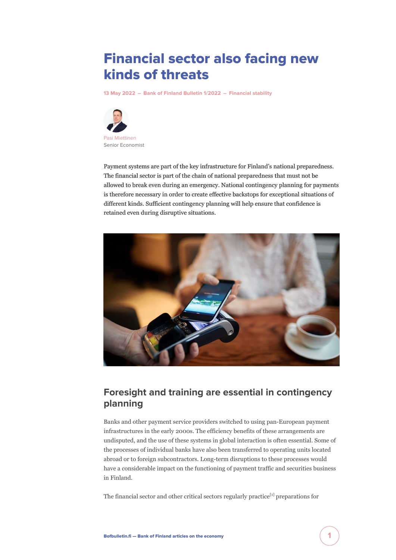# Financial sector also facing new kinds of threats

**[13 May 2022](https://www.bofbulletin.fi/en/archive/?date=2022-05-13) – [Bank of Finland Bulletin 1/2022](https://www.bofbulletin.fi/en/archive/?issue=2022-1) – [Financial stability](https://www.bofbulletin.fi/en/financial-stability/)**



Payment systems are part of the key infrastructure for Finland's national preparedness. The financial sector is part of the chain of national preparedness that must not be allowed to break even during an emergency. National contingency planning for payments is therefore necessary in order to create effective backstops for exceptional situations of different kinds. Sufficient contingency planning will help ensure that confidence is retained even during disruptive situations.



# **Foresight and training are essential in contingency planning**

Banks and other payment service providers switched to using pan-European payment infrastructures in the early 2000s. The efficiency benefits of these arrangements are undisputed, and the use of these systems in global interaction is often essential. Some of the processes of individual banks have also been transferred to operating units located abroad or to foreign subcontractors. Long-term disruptions to these processes would have a considerable impact on the functioning of payment traffic and securities business in Finland.

The financial sector and other critical sectors regularly practice<sup>[1]</sup> preparations for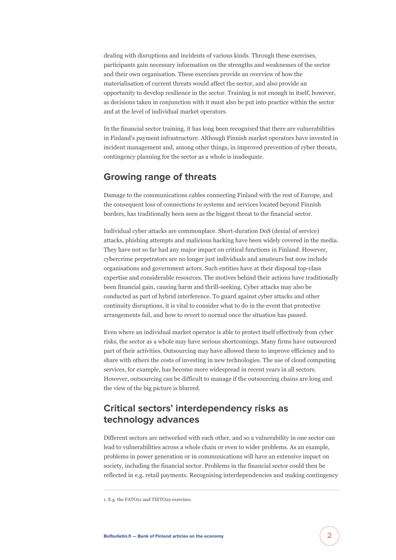dealing with disruptions and incidents of various kinds. Through these exercises, participants gain necessary information on the strengths and weaknesses of the sector and their own organisation. These exercises provide an overview of how the materialisation of current threats would affect the sector, and also provide an opportunity to develop resilience in the sector. Training is not enough in itself, however, as decisions taken in conjunction with it must also be put into practice within the sector and at the level of individual market operators.

In the financial sector training, it has long been recognised that there are vulnerabilities in Finland's payment infrastructure. Although Finnish market operators have invested in incident management and, among other things, in improved prevention of cyber threats, contingency planning for the sector as a whole is inadequate.

### **Growing range of threats**

Damage to the communications cables connecting Finland with the rest of Europe, and the consequent loss of connections to systems and services located beyond Finnish borders, has traditionally been seen as the biggest threat to the financial sector.

Individual cyber attacks are commonplace. Short-duration DoS (denial of service) attacks, phishing attempts and malicious hacking have been widely covered in the media. They have not so far had any major impact on critical functions in Finland. However, cybercrime perpetrators are no longer just individuals and amateurs but now include organisations and government actors. Such entities have at their disposal top-class expertise and considerable resources. The motives behind their actions have traditionally been financial gain, causing harm and thrill-seeking. Cyber attacks may also be conducted as part of hybrid interference. To guard against cyber attacks and other continuity disruptions, it is vital to consider what to do in the event that protective arrangements fail, and how to revert to normal once the situation has passed.

Even where an individual market operator is able to protect itself effectively from cyber risks, the sector as a whole may have serious shortcomings. Many firms have outsourced part of their activities. Outsourcing may have allowed them to improve efficiency and to share with others the costs of investing in new technologies. The use of cloud computing services, for example, has become more widespread in recent years in all sectors. However, outsourcing can be difficult to manage if the outsourcing chains are long and the view of the big picture is blurred.

## **Critical sectors' interdependency risks as technology advances**

Different sectors are networked with each other, and so a vulnerability in one sector can lead to vulnerabilities across a whole chain or even to wider problems. As an example, problems in power generation or in communications will have an extensive impact on society, including the financial sector. Problems in the financial sector could then be reflected in e.g. retail payments. Recognising interdependencies and making contingency

<sup>1.</sup> E.g. the FATO21 and TIETO22 exercises.